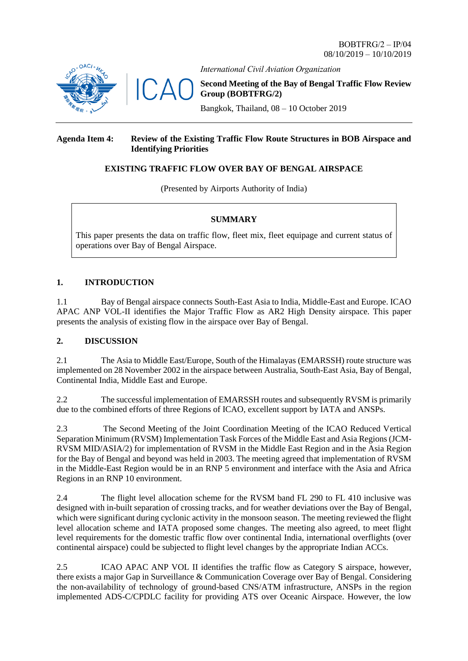

 $\sqrt{}$ 

*International Civil Aviation Organization*

**Second Meeting of the Bay of Bengal Traffic Flow Review Group (BOBTFRG/2)**

Bangkok, Thailand, 08 – 10 October 2019

## **Agenda Item 4: Review of the Existing Traffic Flow Route Structures in BOB Airspace and Identifying Priorities**

# **EXISTING TRAFFIC FLOW OVER BAY OF BENGAL AIRSPACE**

(Presented by Airports Authority of India)

### **SUMMARY**

This paper presents the data on traffic flow, fleet mix, fleet equipage and current status of operations over Bay of Bengal Airspace.

# **1. INTRODUCTION**

1.1 Bay of Bengal airspace connects South-East Asia to India, Middle-East and Europe. ICAO APAC ANP VOL-II identifies the Major Traffic Flow as AR2 High Density airspace. This paper presents the analysis of existing flow in the airspace over Bay of Bengal.

## **2. DISCUSSION**

2.1 The Asia to Middle East/Europe, South of the Himalayas (EMARSSH) route structure was implemented on 28 November 2002 in the airspace between Australia, South-East Asia, Bay of Bengal, Continental India, Middle East and Europe.

2.2 The successful implementation of EMARSSH routes and subsequently RVSM is primarily due to the combined efforts of three Regions of ICAO, excellent support by IATA and ANSPs.

2.3 The Second Meeting of the Joint Coordination Meeting of the ICAO Reduced Vertical Separation Minimum (RVSM) Implementation Task Forces of the Middle East and Asia Regions(JCM-RVSM MID/ASIA/2) for implementation of RVSM in the Middle East Region and in the Asia Region for the Bay of Bengal and beyond was held in 2003. The meeting agreed that implementation of RVSM in the Middle-East Region would be in an RNP 5 environment and interface with the Asia and Africa Regions in an RNP 10 environment.

2.4 The flight level allocation scheme for the RVSM band FL 290 to FL 410 inclusive was designed with in-built separation of crossing tracks, and for weather deviations over the Bay of Bengal, which were significant during cyclonic activity in the monsoon season. The meeting reviewed the flight level allocation scheme and IATA proposed some changes. The meeting also agreed, to meet flight level requirements for the domestic traffic flow over continental India, international overflights (over continental airspace) could be subjected to flight level changes by the appropriate Indian ACCs.

2.5 ICAO APAC ANP VOL II identifies the traffic flow as Category S airspace, however, there exists a major Gap in Surveillance & Communication Coverage over Bay of Bengal. Considering the non-availability of technology of ground-based CNS/ATM infrastructure, ANSPs in the region implemented ADS-C/CPDLC facility for providing ATS over Oceanic Airspace. However, the low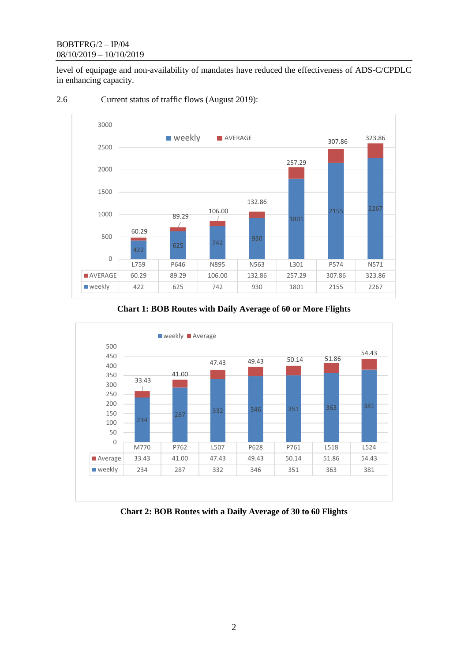## BOBTFRG/2 – IP/04 08/10/2019 – 10/10/2019

level of equipage and non-availability of mandates have reduced the effectiveness of ADS-C/CPDLC in enhancing capacity.

#### <sup>625</sup> <sup>742</sup> <sup>930</sup> 1801 2155 2267 60.29 89.29 106.00 132.86 257.29 307.86 323.86 500 1000 1500 2000 2500 3000 **N** Weekly **AVERAGE**

# 2.6 Current status of traffic flows (August 2019):

422

0



AVERAGE 60.29 89.29 106.00 132.86 257.29 307.86 323.86 weekly | 422 | 625 | 742 | 930 | 1801 | 2155 | 2267

L759 P646 N895 N563 L301 P574 N571



# **Chart 2: BOB Routes with a Daily Average of 30 to 60 Flights**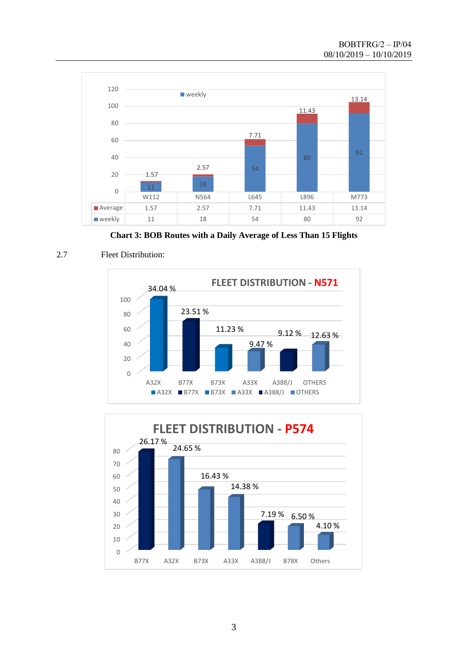

**Chart 3: BOB Routes with a Daily Average of Less Than 15 Flights**





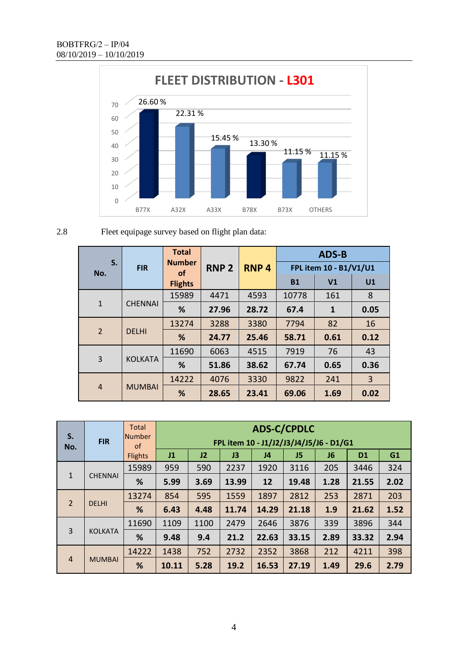

# 2.8 Fleet equipage survey based on flight plan data:

| S.<br>No.      | <b>FIR</b>     | <b>Total</b><br><b>Number</b> | <b>RNP 2</b> | <b>RNP4</b> | <b>ADS-B</b><br>FPL item 10 - B1/V1/U1 |                |                |  |
|----------------|----------------|-------------------------------|--------------|-------------|----------------------------------------|----------------|----------------|--|
|                |                | <b>of</b><br><b>Flights</b>   |              |             | <b>B1</b>                              | V <sub>1</sub> | U1             |  |
| $\mathbf{1}$   | <b>CHENNAI</b> | 15989                         | 4471         | 4593        | 10778                                  | 161            | 8              |  |
|                |                | %                             | 27.96        | 28.72       | 67.4                                   | $\mathbf{1}$   | 0.05           |  |
| $\overline{2}$ | <b>DELHI</b>   | 13274                         | 3288         | 3380        | 7794                                   | 82             | 16             |  |
|                |                | %                             | 24.77        | 25.46       | 58.71                                  | 0.61           | 0.12           |  |
| 3              | <b>KOLKATA</b> | 11690                         | 6063         | 4515        | 7919                                   | 76             | 43             |  |
|                |                | %                             | 51.86        | 38.62       | 67.74                                  | 0.65           | 0.36           |  |
| $\overline{4}$ | <b>MUMBAI</b>  | 14222                         | 4076         | 3330        | 9822                                   | 241            | $\overline{3}$ |  |
|                |                | %                             | 28.65        | 23.41       | 69.06                                  | 1.69           | 0.02           |  |

| S.<br>No.      | <b>FIR</b>     | <b>Total</b>        | <b>ADS-C/CPDLC</b>                      |      |       |                |       |      |                |      |
|----------------|----------------|---------------------|-----------------------------------------|------|-------|----------------|-------|------|----------------|------|
|                |                | <b>Number</b><br>of | FPL item 10 - J1/J2/J3/J4/J5/J6 - D1/G1 |      |       |                |       |      |                |      |
|                |                | <b>Flights</b>      | J1                                      | J2   | J3    | J <sub>4</sub> | J5    | J6   | D <sub>1</sub> | G1   |
| $\mathbf{1}$   | <b>CHENNAI</b> | 15989               | 959                                     | 590  | 2237  | 1920           | 3116  | 205  | 3446           | 324  |
|                |                | %                   | 5.99                                    | 3.69 | 13.99 | 12             | 19.48 | 1.28 | 21.55          | 2.02 |
| $\overline{2}$ | <b>DELHI</b>   | 13274               | 854                                     | 595  | 1559  | 1897           | 2812  | 253  | 2871           | 203  |
|                |                | %                   | 6.43                                    | 4.48 | 11.74 | 14.29          | 21.18 | 1.9  | 21.62          | 1.52 |
| 3              | <b>KOLKATA</b> | 11690               | 1109                                    | 1100 | 2479  | 2646           | 3876  | 339  | 3896           | 344  |
|                |                | %                   | 9.48                                    | 9.4  | 21.2  | 22.63          | 33.15 | 2.89 | 33.32          | 2.94 |
| $\overline{4}$ | <b>MUMBAI</b>  | 14222               | 1438                                    | 752  | 2732  | 2352           | 3868  | 212  | 4211           | 398  |
|                |                | %                   | 10.11                                   | 5.28 | 19.2  | 16.53          | 27.19 | 1.49 | 29.6           | 2.79 |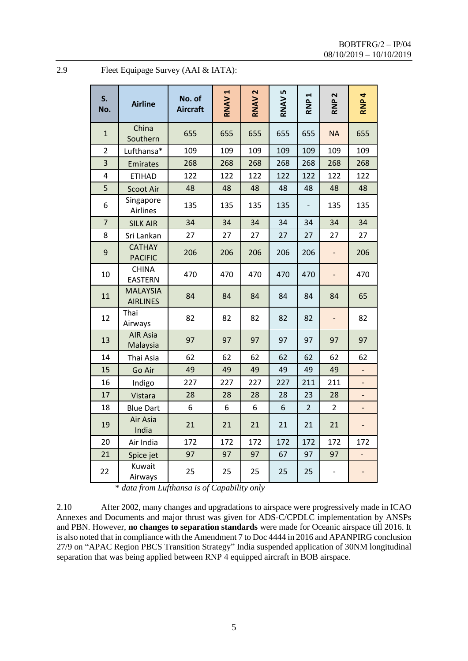| 2.9 | Fleet Equipage Survey (AAI & IATA): |  |  |
|-----|-------------------------------------|--|--|
|     |                                     |  |  |

| S.<br>No.        | <b>Airline</b>                                                      | No. of<br><b>Aircraft</b> | RNAV <sub>1</sub>            | RNAV <sub>2</sub> | RNAV 5 | 4<br>RNP       | $\sim$<br>RNP            | RNP 4                    |
|------------------|---------------------------------------------------------------------|---------------------------|------------------------------|-------------------|--------|----------------|--------------------------|--------------------------|
| $\mathbf{1}$     | China<br>Southern                                                   | 655                       | 655                          | 655               | 655    | 655            | <b>NA</b>                | 655                      |
| $\overline{2}$   | Lufthansa*                                                          | 109                       | 109                          | 109               | 109    | 109            | 109                      | 109                      |
| 3                | Emirates                                                            | 268                       | 268                          | 268               | 268    | 268            | 268                      | 268                      |
| 4                | <b>ETIHAD</b>                                                       | 122                       | 122                          | 122               | 122    | 122            | 122                      | 122                      |
| 5                | Scoot Air                                                           | 48                        | 48                           | 48                | 48     | 48             | 48                       | 48                       |
| 6                | Singapore<br>Airlines                                               | 135                       | 135                          | 135               | 135    |                | 135                      | 135                      |
| $\overline{7}$   | <b>SILK AIR</b>                                                     | 34                        | 34                           | 34                | 34     | 34             | 34                       | 34                       |
| 8                | Sri Lankan                                                          | 27                        | 27                           | 27                | 27     | 27             | 27                       | 27                       |
| $\boldsymbol{9}$ | <b>CATHAY</b><br><b>PACIFIC</b>                                     | 206                       | 206                          | 206               | 206    | 206            | $\overline{\phantom{0}}$ | 206                      |
| 10               | <b>CHINA</b><br><b>EASTERN</b>                                      | 470                       | 470                          | 470               | 470    | 470            | $\overline{\phantom{0}}$ | 470                      |
| 11               | <b>MALAYSIA</b><br><b>AIRLINES</b>                                  | 84                        | 84                           | 84                | 84     | 84             | 84                       | 65                       |
| 12               | Thai<br>Airways                                                     | 82                        | 82                           | 82                | 82     | 82             | $\overline{\phantom{0}}$ | 82                       |
| 13               | <b>AIR Asia</b><br>Malaysia                                         | 97                        | 97                           | 97                | 97     | 97             | 97                       | 97                       |
| 14               | Thai Asia                                                           | 62                        | 62                           | 62                | 62     | 62             | 62                       | 62                       |
| 15               | Go Air                                                              | 49                        | 49                           | 49                | 49     | 49             | 49                       |                          |
| 16               | Indigo                                                              | 227                       | 227                          | 227               | 227    | 211            | 211                      |                          |
| 17               | Vistara                                                             | 28                        | 28                           | 28                | 28     | 23             | 28                       |                          |
| 18               | <b>Blue Dart</b>                                                    | 6                         | 6                            | 6                 | 6      | $\overline{2}$ | $\overline{2}$           | $\overline{\phantom{0}}$ |
| 19               | Air Asia<br>India                                                   | 21                        | 21                           | 21                | 21     | 21             | 21                       |                          |
| 20               | Air India                                                           | 172                       | 172                          | 172               | 172    | 172            | 172                      | 172                      |
| 21               | Spice jet                                                           | 97                        | 97                           | 97                | 67     | 97             | 97                       |                          |
| 22               | Kuwait<br>Airways<br>$T = C \cdot T$<br>$\mathcal{L}$ $\mathcal{L}$ | 25<br>$\sim$              | 25<br>$c \cap I$ $1 \cdot I$ | 25                | 25     | 25             | $\overline{\phantom{0}}$ |                          |

\* *data from Lufthansa is of Capability only*

2.10 After 2002, many changes and upgradations to airspace were progressively made in ICAO Annexes and Documents and major thrust was given for ADS-C/CPDLC implementation by ANSPs and PBN. However, **no changes to separation standards** were made for Oceanic airspace till 2016. It is also noted that in compliance with the Amendment 7 to Doc 4444 in 2016 and APANPIRG conclusion 27/9 on "APAC Region PBCS Transition Strategy" India suspended application of 30NM longitudinal separation that was being applied between RNP 4 equipped aircraft in BOB airspace.